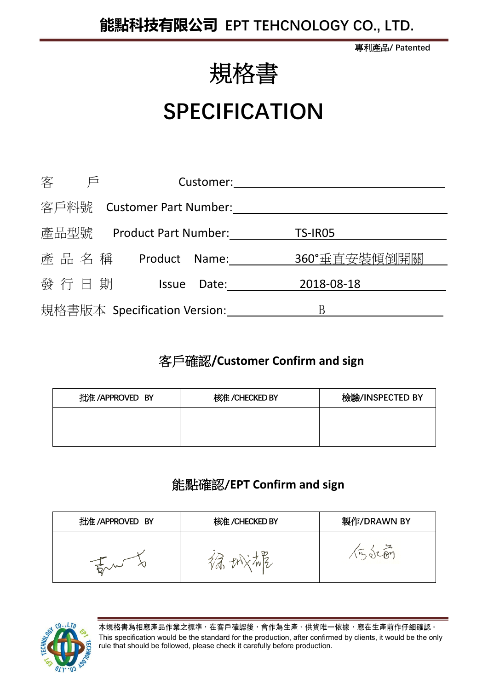## **能點科技有限公司 EPT TEHCNOLOGY CO., LTD.**

專利產品**/ Patented**



# **SPECIFICATION**

|                | Customer:                    |                              |      | 客    |
|----------------|------------------------------|------------------------------|------|------|
|                |                              | <b>Customer Part Number:</b> |      | 客戶料號 |
| <b>TS-IR05</b> |                              | <b>Product Part Number:</b>  |      | 產品型號 |
| 360°垂直安裝傾倒開關   | Name:                        | Product                      | 產品名稱 |      |
| 2018-08-18     | Date:                        | <b>Issue</b>                 | 發行日期 |      |
| B              | 規格書版本 Specification Version: |                              |      |      |

## 客戶確認**/Customer Confirm and sign**

| 批准 /APPROVED BY | 核准 / CHECKED BY | 檢驗/INSPECTED BY |
|-----------------|-----------------|-----------------|
|                 |                 |                 |
|                 |                 |                 |

## 能點確認**/EPT Confirm and sign**

| 批准 /APPROVED BY | 核准 / CHECKED BY | 製作/DRAWN BY      |  |  |
|-----------------|-----------------|------------------|--|--|
| 高八              |                 | $6^{\circ}$<br>n |  |  |

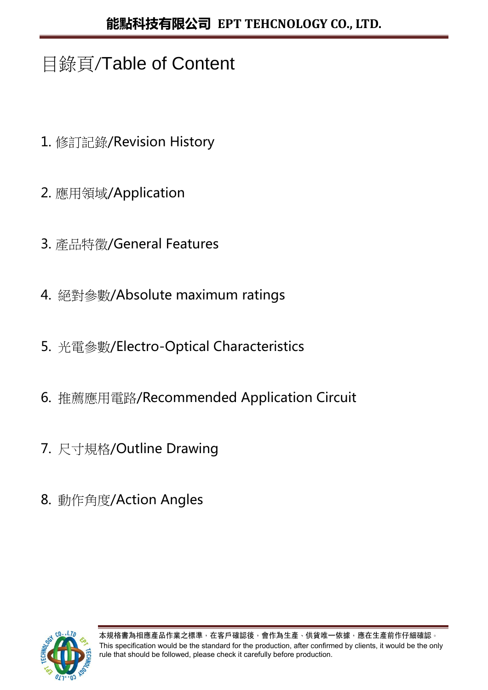# 目錄頁/Table of Content

- 1. 修訂記錄/Revision History
- 2. 應用領域/Application
- 3. 產品特徵/General Features
- 4. 絕對參數/Absolute maximum ratings
- 5. 光電參數/Electro-Optical Characteristics
- 6. 推薦應用電路/Recommended Application Circuit
- 7. 尺寸規格/Outline Drawing
- 8. 動作角度/Action Angles

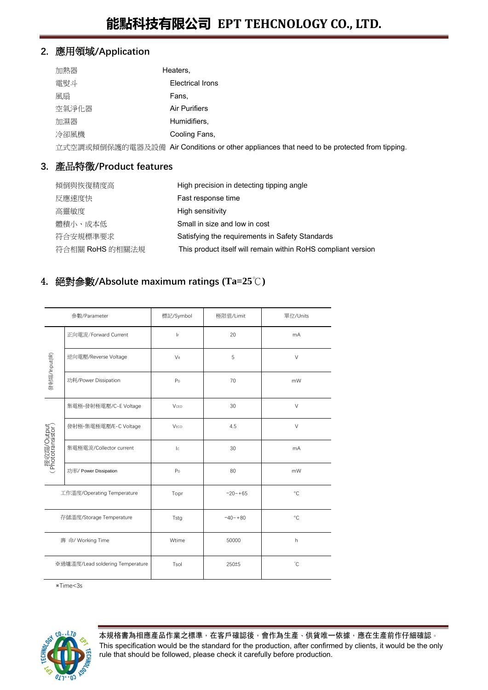#### **2.** 應用領域**/Application**

| 加熱器   | Heaters,                |
|-------|-------------------------|
| 雷慰斗   | <b>Electrical Irons</b> |
| 風扇    | Fans,                   |
| 空氣淨化器 | <b>Air Purifiers</b>    |
| 加濕器   | Humidifiers,            |
| 冷卻風機  | Cooling Fans.           |
|       |                         |

立式空調或傾倒保護的電器及設備 Air Conditions or other appliances that need to be protected from tipping.

#### **3.** 產品特徵**/Product features**

| 傾倒與恢復精度高        | High precision in detecting tipping angle                     |
|-----------------|---------------------------------------------------------------|
| 反應速度快           | Fast response time                                            |
| 高靈敏度            | High sensitivity                                              |
| 體積小、成本低         | Small in size and low in cost                                 |
| 符合安規標準要求        | Satisfying the requirements in Safety Standards               |
| 符合相關 RoHS 的相關法規 | This product itself will remain within RoHS compliant version |

#### 4. 絕對參數**/Absolute maximum ratings (Ta=25**℃**)**

|                                                       | 參數/Parameter               | 標記/Symbol            | 極限值/Limit   | 單位/Units     |
|-------------------------------------------------------|----------------------------|----------------------|-------------|--------------|
|                                                       | 正向電流/Forward Current       | $\vert_{\mathsf{F}}$ | 20          | mA           |
|                                                       | 逆向電壓/Reverse Voltage       | $V_{R}$              | 5           | $\vee$       |
| 發射端/Input(IR)                                         | 功耗/Power Dissipation       | P <sub>D</sub>       | 70          | mW           |
|                                                       | 集電極-發射極電壓/C-E Voltage      | <b>V</b> CEO         | 30          | $\vee$       |
|                                                       | 發射極-集電極電壓/E-C Voltage      | VECO                 | 4.5         | $\vee$       |
| 接收端/Output<br>Phototransistor                         | 集電極電流/Collector current    | c                    | 30          | mA           |
|                                                       | 功率/ Power Dissipation      | P <sub>D</sub>       | 80          | mW           |
|                                                       | 工作溫度/Operating Temperature | Topr                 | $-20 - +65$ | $^{\circ}$ C |
| 存儲溫度/Storage Temperature                              |                            | Tstg                 | $-40 - +80$ | $^{\circ}$ C |
| 壽 命/ Working Time<br>※過爐溫度/Lead soldering Temperature |                            | Wtime                | 50000       | h            |
|                                                       |                            | Tsol                 | 250±5       | °С           |

※Time<3s



本規格書為相應產品作業之標準,在客戶確認後,會作為生產、供貨唯一依據,應在生產前作仔細確認。 This specification would be the standard for the production, after confirmed by clients, it would be the only rule that should be followed, please check it carefully before production.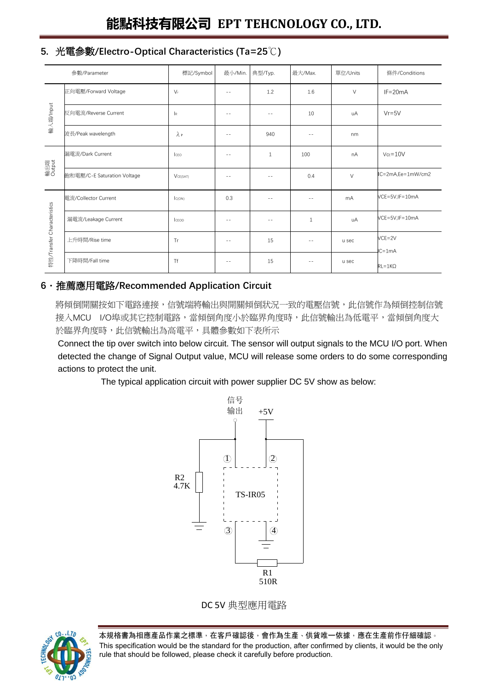#### **5.** 光電參數**/Electro-Optical Characteristics (Ta=25**℃**)**

|                             | 參數/Parameter                | 標記/Symbol    | 最小/Min. | 典型/Typ.      | 最大/Max. | 單位/Units | 條件/Conditions          |
|-----------------------------|-----------------------------|--------------|---------|--------------|---------|----------|------------------------|
| 輸入端/Input                   | 正向電壓/Forward Voltage        | $V_F$        | $ -$    | 1.2          | 1.6     | $\vee$   | $IF = 20mA$            |
|                             | 反向電流/Reverse Current        | $\mathsf{R}$ | $ -$    |              | 10      | uA       | $Vr = 5V$              |
|                             | 波長/Peak wavelength          | $\lambda$ P  | $ -$    | 940          |         | nm       |                        |
| 輸出端<br>Output               | 漏電流/Dark Current            | ICEO         | $ -$    | $\mathbf{1}$ | 100     | nA       | $V_{CF} = 10V$         |
|                             | 飽和電壓/C-E Saturation Voltage | VCE(SAT)     |         |              | 0.4     | $\vee$   | IC=2mA,Ee=1mW/cm2      |
| 特性/Transfer Characteristics | 電流/Collector Current        | IC(ON)       | 0.3     | $ -$         | $- -$   | mA       | VCE=5V,IF=10mA         |
|                             | 漏電流/Leakage Current         | ICEOD        | - -     |              | 1       | uA       | VCE=5V,IF=10mA         |
|                             | 上升時間/Rise time              | Tr           | $ -$    | 15           |         | u sec    | $VCE = 2V$<br>$IC=1mA$ |
|                             | 下降時間/Fall time              | Tf           | - -     | 15           |         | u sec    | $RL = 1KQ$             |

#### **6**.推薦應用電路**/Recommended Application Circuit**

將傾倒開關按如下電路連接,信號端將輸出與開關傾倒狀況一致的電壓信號,此信號作為傾倒控制信號 接入MCU I/O埠或其它控制電路,當傾倒角度小於臨界角度時,此信號輸出為低電平,當傾倒角度大 於臨界角度時,此信號輸出為高電平,具體參數如下表所示

Connect the tip over switch into below circuit. The sensor will output signals to the MCU I/O port. When detected the change of Signal Output value, MCU will release some orders to do some corresponding actions to protect the unit.

The typical application circuit with power supplier DC 5V show as below:



DC 5V 典型應用電路



本規格書為相應產品作業之標準,在客戶確認後,會作為生產、供貨唯一依據,應在生產前作仔細確認。 This specification would be the standard for the production, after confirmed by clients, it would be the only rule that should be followed, please check it carefully before production.